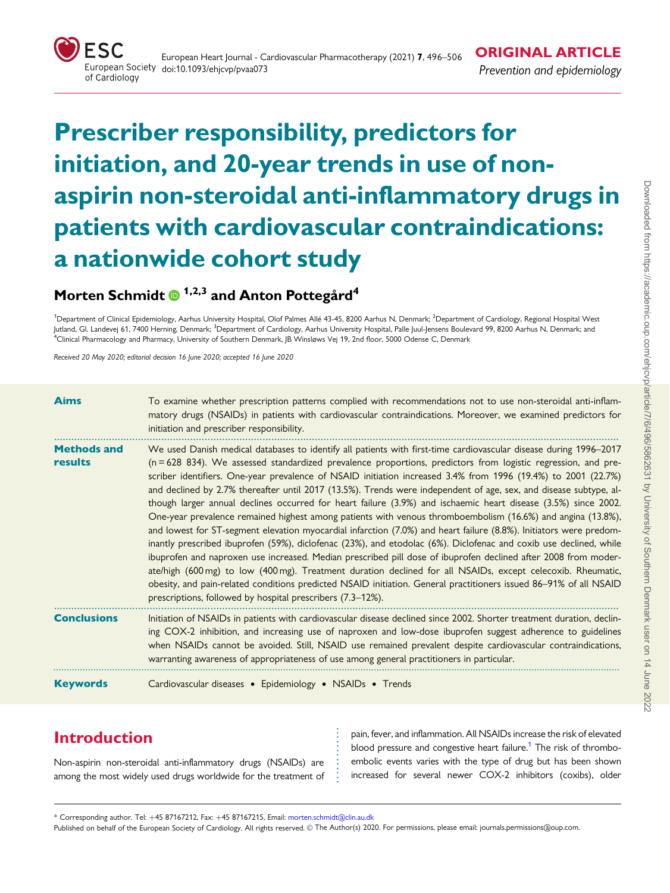<span id="page-0-0"></span>

# Prescriber responsibility, predictors for initiation, and 20-year trends in use of nonaspirin non-steroidal anti-inflammatory drugs in patients with cardiovascular contraindications: a nationwide cohort study

# Morten Schmidt  $\bullet$  <sup>1,2,3</sup> and Anton Pottegård<sup>4</sup>

<sup>1</sup>Department of Clinical Epidemiology, Aarhus University Hospital, Olof Palmes Allé 43-45, 8200 Aarhus N, Denmark; <sup>2</sup>Department of Cardiology, Regional Hospital West Jutland, Gl. Landevej 61, 7400 Herning, Denmark; <sup>3</sup>Department of Cardiology, Aarhus University Hospital, Palle Juul-Jensens Boulevard 99, 8200 Aarhus N, Denmark; and 4 Clinical Pharmacology and Pharmacy, University of Southern Denmark, JB Winsløws Vej 19, 2nd floor, 5000 Odense C, Denmark

Received 20 May 2020; editorial decision 16 June 2020; accepted 16 June 2020

| <b>Aims</b>                   | To examine whether prescription patterns complied with recommendations not to use non-steroidal anti-inflam-<br>matory drugs (NSAIDs) in patients with cardiovascular contraindications. Moreover, we examined predictors for<br>initiation and prescriber responsibility.                                                                                                                                                                                                                                                                                                                                                                                                                                                                                                                                                                                                                                                                                                                                                                                                                                                                                                                                                                                                                                                                                                  |
|-------------------------------|-----------------------------------------------------------------------------------------------------------------------------------------------------------------------------------------------------------------------------------------------------------------------------------------------------------------------------------------------------------------------------------------------------------------------------------------------------------------------------------------------------------------------------------------------------------------------------------------------------------------------------------------------------------------------------------------------------------------------------------------------------------------------------------------------------------------------------------------------------------------------------------------------------------------------------------------------------------------------------------------------------------------------------------------------------------------------------------------------------------------------------------------------------------------------------------------------------------------------------------------------------------------------------------------------------------------------------------------------------------------------------|
| <b>Methods and</b><br>results | We used Danish medical databases to identify all patients with first-time cardiovascular disease during 1996–2017<br>$(n = 628 834)$ . We assessed standardized prevalence proportions, predictors from logistic regression, and pre-<br>scriber identifiers. One-year prevalence of NSAID initiation increased 3.4% from 1996 (19.4%) to 2001 (22.7%)<br>and declined by 2.7% thereafter until 2017 (13.5%). Trends were independent of age, sex, and disease subtype, al-<br>though larger annual declines occurred for heart failure (3.9%) and ischaemic heart disease (3.5%) since 2002.<br>One-year prevalence remained highest among patients with venous thromboembolism (16.6%) and angina (13.8%),<br>and lowest for ST-segment elevation myocardial infarction (7.0%) and heart failure (8.8%). Initiators were predom-<br>inantly prescribed ibuprofen (59%), diclofenac (23%), and etodolac (6%). Diclofenac and coxib use declined, while<br>ibuprofen and naproxen use increased. Median prescribed pill dose of ibuprofen declined after 2008 from moder-<br>ate/high (600 mg) to low (400 mg). Treatment duration declined for all NSAIDs, except celecoxib. Rheumatic,<br>obesity, and pain-related conditions predicted NSAID initiation. General practitioners issued 86–91% of all NSAID<br>prescriptions, followed by hospital prescribers (7.3–12%). |
| <b>Conclusions</b>            | Initiation of NSAIDs in patients with cardiovascular disease declined since 2002. Shorter treatment duration, declin-<br>ing COX-2 inhibition, and increasing use of naproxen and low-dose ibuprofen suggest adherence to guidelines<br>when NSAIDs cannot be avoided. Still, NSAID use remained prevalent despite cardiovascular contraindications,<br>warranting awareness of appropriateness of use among general practitioners in particular.                                                                                                                                                                                                                                                                                                                                                                                                                                                                                                                                                                                                                                                                                                                                                                                                                                                                                                                           |
| <b>Keywords</b>               | Cardiovascular diseases • Epidemiology • NSAIDs • Trends                                                                                                                                                                                                                                                                                                                                                                                                                                                                                                                                                                                                                                                                                                                                                                                                                                                                                                                                                                                                                                                                                                                                                                                                                                                                                                                    |

# Introduction

Non-aspirin non-steroidal anti-inflammatory drugs (NSAIDs) are among the most widely used drugs worldwide for the treatment of

pain, fever, and inflammation. All NSAIDs increase the risk of elevated blood pressure and congestive heart failure.<sup>1</sup> The risk of thromboembolic events varies with the type of drug but has been shown increased for several newer COX-2 inhibitors (coxibs), older

\* Corresponding author. Tel: +45 87167212, Fax: +45 87167215, Email: morten.schmidt@clin.au.dk

Published on behalf of the European Society of Cardiology. All rights reserved. © The Author(s) 2020. For permissions, please email: journals.permissions@oup.com.

. . . . . . . . . . . . .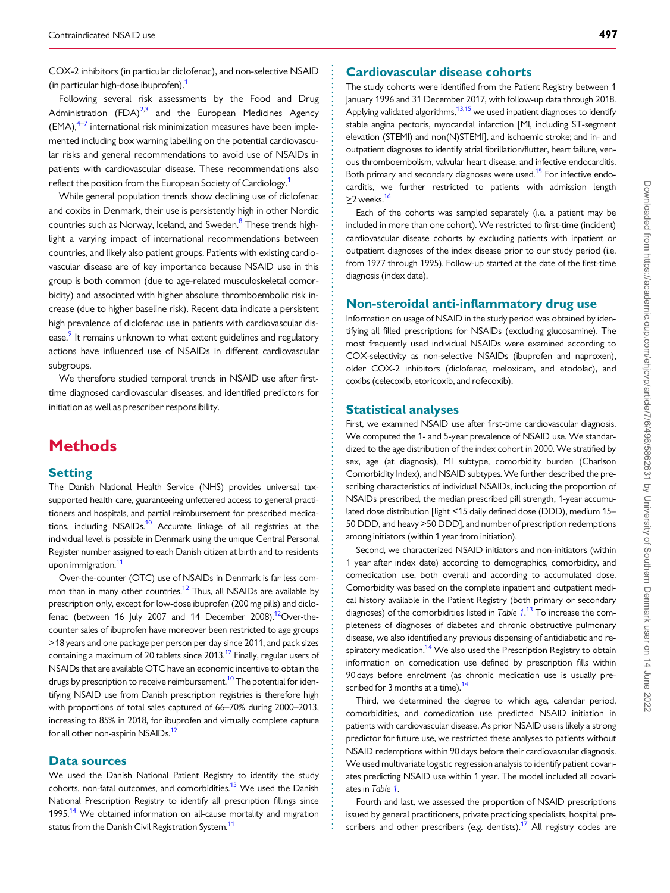<span id="page-1-0"></span>. COX-2 inhibitors (in particular diclofenac), and non-selective NSAID (in particular high-dose ibuprofen).<sup>1</sup>

Following several risk assessments by the Food and Drug Administration  $(FDA)^{2,3}$  and the European Medicines Agency  $(EMA)$ , $4-7$  $4-7$  international risk minimization measures have been implemented including box warning labelling on the potential cardiovascular risks and general recommendations to avoid use of NSAIDs in patients with cardiovascular disease. These recommendations also reflect the position from the European Society of Cardiology.<sup>[1](#page-10-0)</sup>

While general population trends show declining use of diclofenac and coxibs in Denmark, their use is persistently high in other Nordic countries such as Norway, Iceland, and Sweden.<sup>8</sup> These trends highlight a varying impact of international recommendations between countries, and likely also patient groups. Patients with existing cardiovascular disease are of key importance because NSAID use in this group is both common (due to age-related musculoskeletal comorbidity) and associated with higher absolute thromboembolic risk increase (due to higher baseline risk). Recent data indicate a persistent high prevalence of diclofenac use in patients with cardiovascular disease.<sup>9</sup> It remains unknown to what extent guidelines and regulatory actions have influenced use of NSAIDs in different cardiovascular subgroups.

We therefore studied temporal trends in NSAID use after firsttime diagnosed cardiovascular diseases, and identified predictors for initiation as well as prescriber responsibility.

# **Methods**

#### **Setting**

The Danish National Health Service (NHS) provides universal taxsupported health care, guaranteeing unfettered access to general practitioners and hospitals, and partial reimbursement for prescribed medications, including NSAIDs.<sup>10</sup> Accurate linkage of all registries at the individual level is possible in Denmark using the unique Central Personal Register number assigned to each Danish citizen at birth and to residents upon immigration.<sup>11</sup>

Over-the-counter (OTC) use of NSAIDs in Denmark is far less common than in many other countries.<sup>12</sup> Thus, all NSAIDs are available by prescription only, except for low-dose ibuprofen (200 mg pills) and diclofenac (between 16 July 2007 and 14 December 2008).<sup>12</sup>Over-thecounter sales of ibuprofen have moreover been restricted to age groups >\_18 years and one package per person per day since 2011, and pack sizes containing a maximum of 20 tablets since  $2013$ .<sup>[12](#page-10-0)</sup> Finally, regular users of NSAIDs that are available OTC have an economic incentive to obtain the drugs by prescription to receive reimbursement.<sup>[10](#page-10-0)</sup> The potential for identifying NSAID use from Danish prescription registries is therefore high with proportions of total sales captured of 66–70% during 2000–2013, increasing to 85% in 2018, for ibuprofen and virtually complete capture for all other non-aspirin NSAIDs.<sup>12</sup>

#### Data sources

We used the Danish National Patient Registry to identify the study cohorts, non-fatal outcomes, and comorbidities.<sup>13</sup> We used the Danish National Prescription Registry to identify all prescription fillings since 1995.<sup>[14](#page-10-0)</sup> We obtained information on all-cause mortality and migration status from the Danish Civil Registration System.<sup>11</sup>

#### Cardiovascular disease cohorts

The study cohorts were identified from the Patient Registry between 1 January 1996 and 31 December 2017, with follow-up data through 2018. Applying validated algorithms,<sup>[13,15](#page-10-0)</sup> we used inpatient diagnoses to identify stable angina pectoris, myocardial infarction [MI, including ST-segment elevation (STEMI) and non(N)STEMI], and ischaemic stroke; and in- and outpatient diagnoses to identify atrial fibrillation/flutter, heart failure, venous thromboembolism, valvular heart disease, and infective endocarditis. Both primary and secondary diagnoses were used.<sup>[15](#page-10-0)</sup> For infective endocarditis, we further restricted to patients with admission length  $>$ 2 weeks.<sup>16</sup>

Each of the cohorts was sampled separately (i.e. a patient may be included in more than one cohort). We restricted to first-time (incident) cardiovascular disease cohorts by excluding patients with inpatient or outpatient diagnoses of the index disease prior to our study period (i.e. from 1977 through 1995). Follow-up started at the date of the first-time diagnosis (index date).

#### Non-steroidal anti-inflammatory drug use

Information on usage of NSAID in the study period was obtained by identifying all filled prescriptions for NSAIDs (excluding glucosamine). The most frequently used individual NSAIDs were examined according to COX-selectivity as non-selective NSAIDs (ibuprofen and naproxen), older COX-2 inhibitors (diclofenac, meloxicam, and etodolac), and coxibs (celecoxib, etoricoxib, and rofecoxib).

#### Statistical analyses

First, we examined NSAID use after first-time cardiovascular diagnosis. We computed the 1- and 5-year prevalence of NSAID use. We standardized to the age distribution of the index cohort in 2000. We stratified by sex, age (at diagnosis), MI subtype, comorbidity burden (Charlson Comorbidity Index), and NSAID subtypes. We further described the prescribing characteristics of individual NSAIDs, including the proportion of NSAIDs prescribed, the median prescribed pill strength, 1-year accumulated dose distribution [light <15 daily defined dose (DDD), medium 15– 50 DDD, and heavy >50 DDD], and number of prescription redemptions among initiators (within 1 year from initiation).

Second, we characterized NSAID initiators and non-initiators (within 1 year after index date) according to demographics, comorbidity, and comedication use, both overall and according to accumulated dose. Comorbidity was based on the complete inpatient and outpatient medical history available in the Patient Registry (both primary or secondary diagnoses) of the comorbidities listed in Table  $1.13$  $1.13$  $1.13$  To increase the completeness of diagnoses of diabetes and chronic obstructive pulmonary disease, we also identified any previous dispensing of antidiabetic and re-spiratory medication.<sup>[14](#page-10-0)</sup> We also used the Prescription Registry to obtain information on comedication use defined by prescription fills within 90 days before enrolment (as chronic medication use is usually prescribed for 3 months at a time). $14$ 

Third, we determined the degree to which age, calendar period, comorbidities, and comedication use predicted NSAID initiation in patients with cardiovascular disease. As prior NSAID use is likely a strong predictor for future use, we restricted these analyses to patients without NSAID redemptions within 90 days before their cardiovascular diagnosis. We used multivariate logistic regression analysis to identify patient covariates predicting NSAID use within 1 year. The model included all covariates in Table [1](#page-2-0).

Fourth and last, we assessed the proportion of NSAID prescriptions issued by general practitioners, private practicing specialists, hospital prescribers and other prescribers (e.g. dentists).<sup>17</sup> All registry codes are

. . . . . . . . . . . . . . . . . . . . . . . . . . . . . . . . . . . . . . . . . . . . . . . . . . . . . . . . . . . . . . . . . . . . . . . . . . . . . . . . . . . . . . . . . . . . . . . . . . . . . . . . . . . . . . . . . . . . . . . . . . . . . . . . . . . . . . . . . . . . . . . . . . . . . . . . . . . . . . . . . . . . . . . . . . . .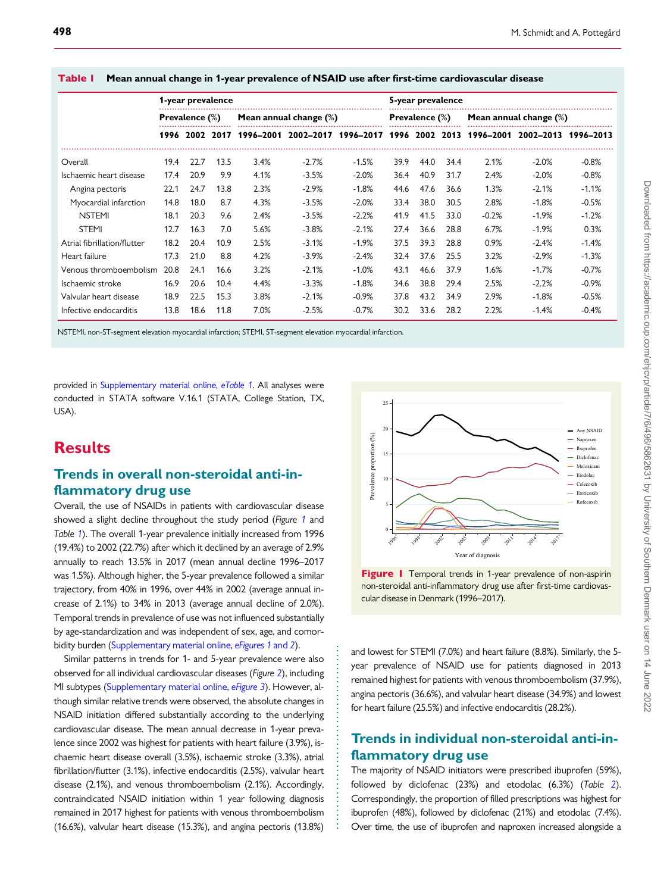|                             |      | 1-year prevalence |      |      |                                                        |         |      | 5-year prevalence     |      |         |                           |         |
|-----------------------------|------|-------------------|------|------|--------------------------------------------------------|---------|------|-----------------------|------|---------|---------------------------|---------|
|                             |      | Prevalence (%)    |      |      | Mean annual change $(\%)$                              |         |      | <b>Prevalence</b> (%) |      |         | Mean annual change $(\%)$ |         |
|                             |      | 1996 2002 2017    |      |      | 1996-2001 2002-2017 1996-2017 1996 2002 2013 1996-2001 |         |      |                       |      |         | 2002–2013 1996–2013       |         |
| Overall                     | 19.4 | 22.7              | 13.5 | 3.4% | $-2.7%$                                                | $-1.5%$ | 39.9 | 44.0                  | 34.4 | 2.1%    | $-2.0%$                   | $-0.8%$ |
| Ischaemic heart disease     | 17.4 | 20.9              | 9.9  | 4.1% | $-3.5%$                                                | $-2.0%$ | 36.4 | 40.9                  | 31.7 | 2.4%    | $-2.0%$                   | $-0.8%$ |
| Angina pectoris             | 22.1 | 24.7              | 13.8 | 2.3% | $-2.9%$                                                | $-1.8%$ | 44.6 | 47.6                  | 36.6 | 1.3%    | $-2.1%$                   | $-1.1%$ |
| Myocardial infarction       | 14.8 | 18.0              | 8.7  | 4.3% | $-3.5%$                                                | $-2.0%$ | 33.4 | 38.0                  | 30.5 | 2.8%    | $-1.8%$                   | $-0.5%$ |
| <b>NSTEMI</b>               | 18.1 | 20.3              | 9.6  | 2.4% | $-3.5%$                                                | $-2.2%$ | 41.9 | 41.5                  | 33.0 | $-0.2%$ | $-1.9%$                   | $-1.2%$ |
| <b>STEMI</b>                | 12.7 | 16.3              | 7.0  | 5.6% | $-3.8%$                                                | $-2.1%$ | 27.4 | 36.6                  | 28.8 | 6.7%    | $-1.9%$                   | 0.3%    |
| Atrial fibrillation/flutter | 18.2 | 20.4              | 10.9 | 2.5% | $-3.1%$                                                | $-1.9%$ | 37.5 | 39.3                  | 28.8 | 0.9%    | $-2.4%$                   | $-1.4%$ |
| Heart failure               | 17.3 | 21.0              | 8.8  | 4.2% | $-3.9%$                                                | $-2.4%$ | 32.4 | 37.6                  | 25.5 | 3.2%    | $-2.9%$                   | $-1.3%$ |
| Venous thromboembolism      | 20.8 | 24.1              | 16.6 | 3.2% | $-2.1%$                                                | $-1.0%$ | 43.1 | 46.6                  | 37.9 | 1.6%    | $-1.7%$                   | $-0.7%$ |
| Ischaemic stroke            | 16.9 | 20.6              | 10.4 | 4.4% | $-3.3%$                                                | $-1.8%$ | 34.6 | 38.8                  | 29.4 | 2.5%    | $-2.2%$                   | $-0.9%$ |
| Valvular heart disease      | 18.9 | 22.5              | 15.3 | 3.8% | $-2.1%$                                                | $-0.9%$ | 37.8 | 43.2                  | 34.9 | 2.9%    | $-1.8%$                   | $-0.5%$ |
| Infective endocarditis      | 13.8 | 18.6              | 11.8 | 7.0% | $-2.5%$                                                | $-0.7%$ | 30.2 | 33.6                  | 28.2 | 2.2%    | $-1.4%$                   | $-0.4%$ |

. . . . . . . . . . . . . . . . . . . . . . . . . . . . . . . . . . . . . . . . . .

<span id="page-2-0"></span>Table 1 Mean annual change in 1-year prevalence of NSAID use after first-time cardiovascular disease

NSTEMI, non-ST-segment elevation myocardial infarction; STEMI, ST-segment elevation myocardial infarction.

provided in [Supplementary material online,](https://academic.oup.com/ehjcvp/article-lookup/doi/10.1093/ehjcvp/pvaa073#supplementary-data) eTable 1. All analyses were conducted in STATA software V.16.1 (STATA, College Station, TX, USA).

# **Results**

#### Trends in overall non-steroidal anti-inflammatory drug use

Overall, the use of NSAIDs in patients with cardiovascular disease showed a slight decline throughout the study period (Figure 1 and Table 1). The overall 1-year prevalence initially increased from 1996 (19.4%) to 2002 (22.7%) after which it declined by an average of 2.9% annually to reach 13.5% in 2017 (mean annual decline 1996–2017 was 1.5%). Although higher, the 5-year prevalence followed a similar trajectory, from 40% in 1996, over 44% in 2002 (average annual increase of 2.1%) to 34% in 2013 (average annual decline of 2.0%). Temporal trends in prevalence of use was not influenced substantially by age-standardization and was independent of sex, age, and comor-bidity burden [\(Supplementary material online,](https://academic.oup.com/ehjcvp/article-lookup/doi/10.1093/ehjcvp/pvaa073#supplementary-data) eFigures 1 and 2).

Similar patterns in trends for 1- and 5-year prevalence were also observed for all individual cardiovascular diseases (Figure [2](#page-3-0)), including MI subtypes [\(Supplementary material online,](https://academic.oup.com/ehjcvp/article-lookup/doi/10.1093/ehjcvp/pvaa073#supplementary-data) eFigure 3). However, although similar relative trends were observed, the absolute changes in NSAID initiation differed substantially according to the underlying cardiovascular disease. The mean annual decrease in 1-year prevalence since 2002 was highest for patients with heart failure (3.9%), ischaemic heart disease overall (3.5%), ischaemic stroke (3.3%), atrial fibrillation/flutter (3.1%), infective endocarditis (2.5%), valvular heart disease (2.1%), and venous thromboembolism (2.1%). Accordingly, contraindicated NSAID initiation within 1 year following diagnosis remained in 2017 highest for patients with venous thromboembolism (16.6%), valvular heart disease (15.3%), and angina pectoris (13.8%)



Figure | Temporal trends in 1-year prevalence of non-aspirin non-steroidal anti-inflammatory drug use after first-time cardiovascular disease in Denmark (1996–2017).

and lowest for STEMI (7.0%) and heart failure (8.8%). Similarly, the 5 year prevalence of NSAID use for patients diagnosed in 2013 remained highest for patients with venous thromboembolism (37.9%), angina pectoris (36.6%), and valvular heart disease (34.9%) and lowest for heart failure (25.5%) and infective endocarditis (28.2%).

### Trends in individual non-steroidal anti-inflammatory drug use

The majority of NSAID initiators were prescribed ibuprofen (59%), followed by diclofenac (23%) and etodolac (6.3%) (Table [2](#page-4-0)). Correspondingly, the proportion of filled prescriptions was highest for ibuprofen (48%), followed by diclofenac (21%) and etodolac (7.4%). Over time, the use of ibuprofen and naproxen increased alongside a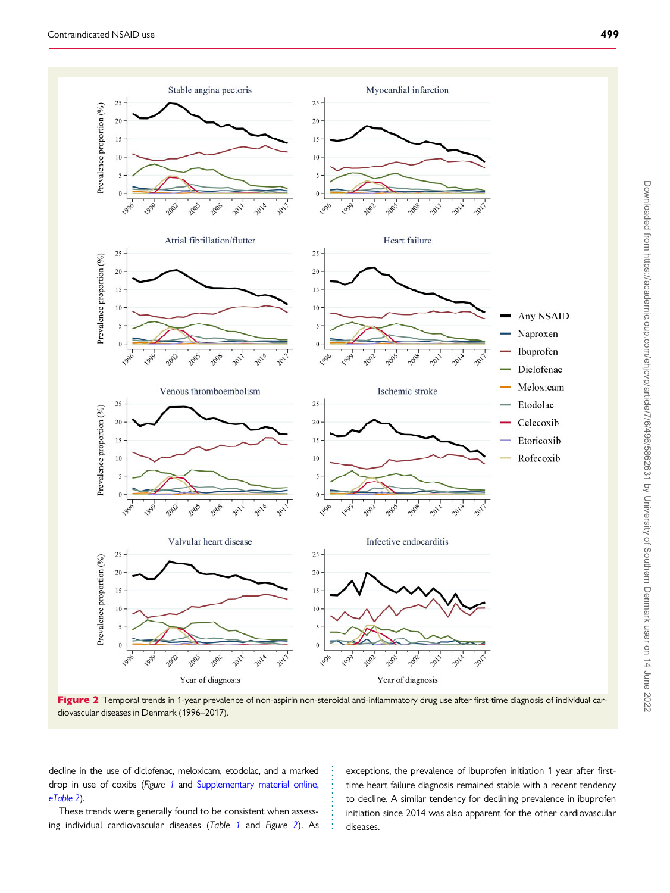<span id="page-3-0"></span>

Figure 2 Temporal trends in 1-year prevalence of non-aspirin non-steroidal anti-inflammatory drug use after first-time diagnosis of individual cardiovascular diseases in Denmark (1996–2017).

. . . . . . . . . . . . . .

. decline in the use of diclofenac, meloxicam, etodolac, and a marked drop in use of coxibs (Figure [1](#page-2-0) and [Supplementary material online,](https://academic.oup.com/ehjcvp/article-lookup/doi/10.1093/ehjcvp/pvaa073#supplementary-data) [eTable 2](https://academic.oup.com/ehjcvp/article-lookup/doi/10.1093/ehjcvp/pvaa073#supplementary-data)).

These trends were generally found to be consistent when assessing individual cardiovascular diseases (Table [1](#page-2-0) and Figure 2). As

exceptions, the prevalence of ibuprofen initiation 1 year after firsttime heart failure diagnosis remained stable with a recent tendency to decline. A similar tendency for declining prevalence in ibuprofen initiation since 2014 was also apparent for the other cardiovascular diseases.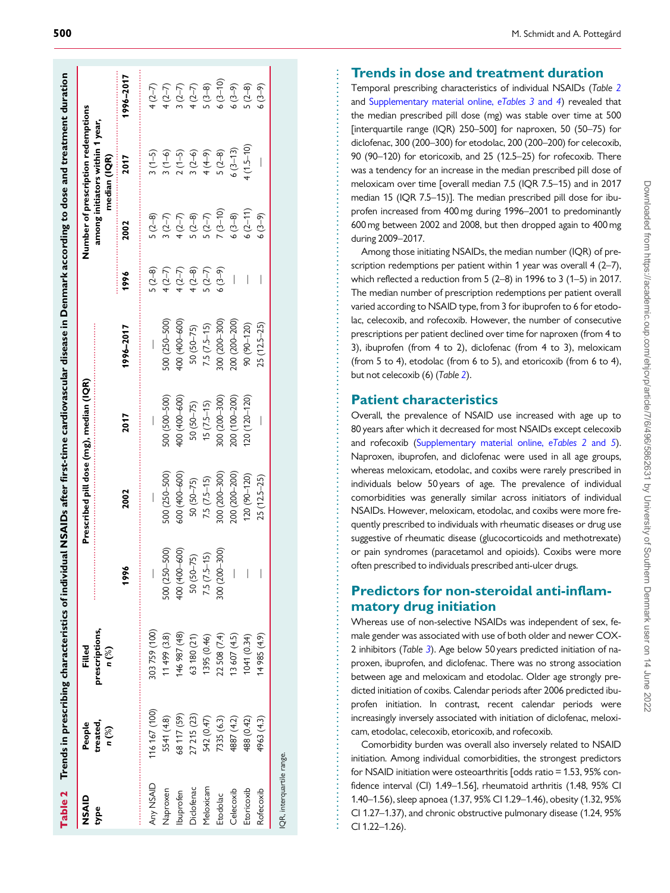<span id="page-4-0"></span>

| NSAID      | People            | Filled                  |               | Prescribed pill dose (mg), median (IQR) |               |                   |                                          |                                              | Number of prescription redemptions                                                                                                                                                                                                                                                                                     |                                                                            |
|------------|-------------------|-------------------------|---------------|-----------------------------------------|---------------|-------------------|------------------------------------------|----------------------------------------------|------------------------------------------------------------------------------------------------------------------------------------------------------------------------------------------------------------------------------------------------------------------------------------------------------------------------|----------------------------------------------------------------------------|
| type       | treated,<br>n (%) | prescriptions,<br>n (%) |               |                                         |               |                   |                                          |                                              | among initiators within 1 year,<br>median (IQR)                                                                                                                                                                                                                                                                        |                                                                            |
|            |                   |                         | 1996          | 2002                                    | 2017          | 1996-2017         | 1996                                     | 2002                                         | 2017                                                                                                                                                                                                                                                                                                                   | 1996–2017                                                                  |
| Any NSAID  | 116 167 (100)     | 303759 (100)            |               |                                         |               |                   | $5(2-8)$                                 | $5(2-8)$                                     | $3(1-5)$                                                                                                                                                                                                                                                                                                               |                                                                            |
| Naproxen   | 5541 (4.8)        | 11499 (3.8)             | 500 (250-500) | 500 (250-500)                           | 500 (500-500) | 500 (250-500)     |                                          |                                              |                                                                                                                                                                                                                                                                                                                        |                                                                            |
| lbuprofen  | 68 117 (59)       | 46 987 (48)             | 400 (400-600) | 600 (400-600)                           | 400 (400-600) | $(000 - 600)$ 00+ |                                          |                                              |                                                                                                                                                                                                                                                                                                                        |                                                                            |
| Diclofenac | 27 215 (23)       | 63 180 (21)             | $50(50-75)$   | $50(50-75)$                             | $50(50-75)$   | $50(50-75)$       | 4 (2-7)<br>4 (2-7)<br>4 (2-8)<br>5 (2-7) | $3(2-7)$<br>$4(2-7)$<br>$5(2-8)$<br>$5(2-7)$ | $\begin{array}{c} 3 (1-5) \\ 2 (1-5) \\ 2 (2+9) \\ 3 (2+1) \\ 4 (2-3) \\ 5 (2-3) \\ 5 (2-3) \\ 5 (2-3) \\ 5 (2-3) \\ 5 (2-3) \\ 5 (2-3) \\ 5 (2-3) \\ 5 (2-3) \\ 5 (2-3) \\ 5 (2-3) \\ 5 (2-3) \\ 5 (2-3) \\ 5 (2-3) \\ 5 (2-3) \\ 5 (2-3) \\ 5 (2-3) \\ 5 (2-3) \\ 5 (2-3) \\ 5 (2-3) \\ 5 (2-3) \\ 5 (2-3) \\ 5 (2-$ | $4 (2-7)$<br>$4 (2-7)$<br>$4 (2-7)$<br>$4 (2-7)$<br>$4 (2-8)$<br>$4 (3-8)$ |
| Meloxicam  | 542 (0.47)        | 1395 (0.46)             | $7.5(7.5-15)$ | $7.5(7.5-15)$                           | $15(7.5-15)$  | $7.5(7.5-15)$     |                                          |                                              |                                                                                                                                                                                                                                                                                                                        |                                                                            |
| Etodolac   | 7335 (6.3)        | 22 508 (7.4)            | $(006 - 300)$ | 800 (200-300)                           | 300 (200-300) | 006-002) 008      | $6(3-9)$                                 | $7(3-10)$                                    |                                                                                                                                                                                                                                                                                                                        | $6(3-10)$                                                                  |
| Celecoxib  | 4887 (4.2)        | 13 607 (4.5)            |               | 200 (200-200)                           | 200 (100-200) | $(00(-200)$       |                                          | $6(3-8)$                                     | $6(3-13)$                                                                                                                                                                                                                                                                                                              | $6(3-9)$                                                                   |
| Etoricoxib | 488 (0.42)        | 1041 (0.34)             |               | $(20 (90 - 120)$                        | 20 (120-120)  | 90 (90-120)       |                                          | $6(2-11)$                                    | $(1.5 - 10)$                                                                                                                                                                                                                                                                                                           | $(2-8)$                                                                    |
| Rofecoxib  | 4963 (4.3)        | 14 985 (4.9)            |               | $25(12.5-25)$                           |               | $25(12.5-25)$     |                                          | $6(3-9)$                                     |                                                                                                                                                                                                                                                                                                                        | $6(3-9)$                                                                   |

and [Supplementary material online,](https://academic.oup.com/ehjcvp/article-lookup/doi/10.1093/ehjcvp/pvaa073#supplementary-data) eTables 3 and 4) revealed that the median prescribed pill dose (mg) was stable over time at 500 [interquartile range (IQR) 250–500] for naproxen, 50 (50–75) for diclofenac, 300 (200–300) for etodolac, 200 (200–200) for celecoxib, 90 (90–120) for etoricoxib, and 25 (12.5–25) for rofecoxib. There was a tendency for an increase in the median prescribed pill dose of

meloxicam over time [overall median 7.5 (IQR 7.5–15) and in 2017

Temporal prescribing characteristics of individual NSAIDs (Table 2

Trends in dose and treatment duration and spacele the media presentation of inductor and NSADs (rate the median presentation of inductor (median NSADs (rate) was stable over time at the median precise of the median precis median 15 (IQR 7.5–15)]. The median prescribed pill dose for ibuprofen increased from 400 mg during 1996–2001 to predominantly 600 mg between 2002 and 2008, but then dropped again to 400 mg during 2009–2017. Among those initiating NSAIDs, the median number (IQR) of prescription redemptions per patient within 1 year was overall 4 (2-7), which reflected a reduction from 5 (2–8) in 1996 to 3 (1–5) in 2017. The median number of prescription redemptions per patient overall varied according to NSAID type, from 3 for ibuprofen to 6 for etodolac, celecoxib, and rofecoxib. However, the number of consecutive prescriptions per patient declined over time for naproxen (from 4 to 3), ibuprofen (from 4 to 2), diclofenac (from 4 to 3), meloxicam (from 5 to 4), etodolac (from 6 to 5), and etoricoxib (from 6 to 4),

#### Patient characteristics

but not celecoxib (6) (Table 2).

Overall, the prevalence of NSAID use increased with age up to 80 years after which it decreased for most NSAIDs except celecoxib and rofecoxib [\(Supplementary material online,](https://academic.oup.com/ehjcvp/article-lookup/doi/10.1093/ehjcvp/pvaa073#supplementary-data) eTables 2 and 5). Naproxen, ibuprofen, and diclofenac were used in all age groups, whereas meloxicam, etodolac, and coxibs were rarely prescribed in individuals below 50 years of age. The prevalence of individual comorbidities was generally similar across initiators of individual NSAIDs. However, meloxicam, etodolac, and coxibs were more frequently prescribed to individuals with rheumatic diseases or drug use suggestive of rheumatic disease (glucocorticoids and methotrexate) or pain syndromes (paracetamol and opioids). Coxibs were more often prescribed to individuals prescribed anti-ulcer drugs.

### Predictors for non-steroidal anti-inflammatory drug initiation

Whereas use of non-selective NSAIDs was independent of sex, female gender was associated with use of both older and newer COX-2 inhibitors (Table [3](#page-5-0)). Age below 50 years predicted initiation of naproxen, ibuprofen, and diclofenac. There was no strong association between age and meloxicam and etodolac. Older age strongly predicted initiation of coxibs. Calendar periods after 2006 predicted ibuprofen initiation. In contrast, recent calendar periods were increasingly inversely associated with initiation of diclofenac, meloxicam, etodolac, celecoxib, etoricoxib, and rofecoxib.

Comorbidity burden was overall also inversely related to NSAID initiation. Among individual comorbidities, the strongest predictors for NSAID initiation were osteoarthritis [odds ratio = 1.53, 95% confidence interval (CI) 1.49–1.56], rheumatoid arthritis (1.48, 95% CI 1.40–1.56), sleep apnoea (1.37, 95% CI 1.29–1.46), obesity (1.32, 95% CI 1.27–1.37), and chronic obstructive pulmonary disease (1.24, 95% CI 1.22–1.26).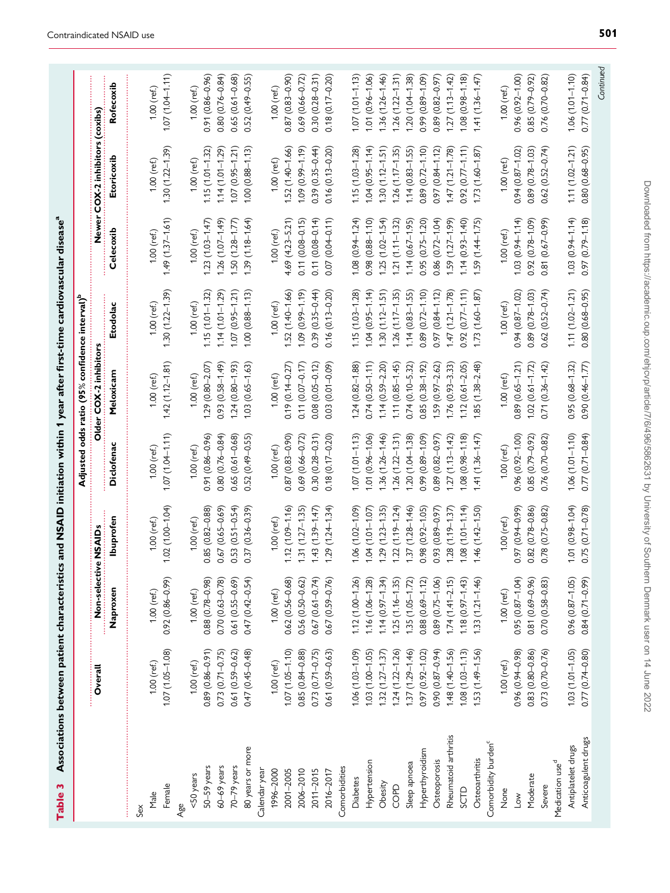<span id="page-5-0"></span>

|                                 |                     |                      |                       |                     | Adjusted odds ratio (95% confidence interval) |                       |                     |                           |                     |
|---------------------------------|---------------------|----------------------|-----------------------|---------------------|-----------------------------------------------|-----------------------|---------------------|---------------------------|---------------------|
|                                 | Overall             | Non-selective NSAIDs |                       |                     | Older COX-2 inhibito                          |                       | <b>Newer</b>        | COX-2 inhibitors (coxibs) |                     |
|                                 |                     | Naproxen             | lbuprofen             | Diclofena           | Meloxicarr                                    | Etodolac              | Celecoxit           | Etoricoxit                | Rofecoxib           |
| Sex                             |                     |                      |                       |                     |                                               |                       |                     |                           |                     |
| Male                            | $1.00$ (ref.)       | $1.00$ (ref.)        | 1.00 (ref.)           | 1.00 (ref.)         | $1.00$ (ref.)                                 | 1.00 (ref.)           | 1.00 (ref.)         | $1.00$ (ref.)             | $1.00$ (ref.)       |
| Female                          | $1.07(1.05 - 1.08)$ | $0.92(0.86 - 0.99)$  | $1.02(1.00 - 1.04)$   | $1.07(1.04 - 1.11)$ | $1.42(1.12 - 1.81)$                           | $(1.30(1.22 - 1.39))$ | $1.49(1.37 - 1.61)$ | $(1.30(1.22 - 1.39))$     | $1.07(1.04 - 1.11)$ |
| Age                             |                     |                      |                       |                     |                                               |                       |                     |                           |                     |
| <50 years                       | $1.00$ (ref.)       | $1.00$ (ref.)        | 1.00 (ref.)           | $1.00$ (ref.)       | $1.00$ (ref.)                                 | 1.00 (ref.)           | $1.00$ (ref.)       | $1.00$ (ref.)             | $1.00$ (ref.)       |
| 50-59 years                     | $0.89(0.86 - 0.91)$ | $0.88(0.78 - 0.98)$  | $0.85(0.82 - 0.88)$   | $0.91(0.86 - 0.96)$ | $1.29(0.80 - 2.07)$                           | $1.15(1.01 - 1.32)$   | $1.23(1.03 - 1.47)$ | $1.15(1.01 - 1.32)$       | $0.91(0.86 - 0.96)$ |
| $60-69$ years                   | $0.73(0.71 - 0.75)$ | $0.70(0.63 - 0.78)$  | $0.67(0.65 - 0.69)$   | $0.80(0.76 - 0.84)$ | $0.93(0.58 - 1.49)$                           | $1.14(1.01 - 1.29)$   | $1.26(1.07 - 1.49)$ | $1.14(1.01 - 1.29)$       | $0.80(0.76 - 0.84)$ |
| 70-79 years                     | $0.61(0.59 - 0.62)$ | $0.61(0.55 - 0.69)$  | $0.53(0.51 - 0.54)$   | $0.65(0.61 - 0.68)$ | $1.24(0.80 - 1.93)$                           | $1.07(0.95 - 1.21)$   | $1.50(1.28 - 1.77)$ | $1.07(0.95 - 1.21)$       | $0.65(0.61 - 0.68)$ |
| 80 years or more                | $0.47(0.45 - 0.48)$ | $0.47(0.42 - 0.54)$  | $0.37(0.36 - 0.39)$   | $0.52(0.49 - 0.55)$ | $1.03(0.65 - 1.63)$                           | $1.00(0.88 - 1.13)$   | $1.39(1.18 - 1.64)$ | $1.00(0.88 - 1.13)$       | $0.52(0.49 - 0.55)$ |
| Calendar year                   |                     |                      |                       |                     |                                               |                       |                     |                           |                     |
| 1996-2000                       | $1.00$ (ref.)       | $1.00$ (ref.)        | $1.00$ (ref.)         | 1.00 (ref.)         | $1.00$ (ref.)                                 | $1.00$ (ref.)         | $1.00$ (ref.)       | $1.00$ (ref.)             | 1.00 (ref.)         |
| 2001-2005                       | $1.07(1.05 - 1.10)$ | $0.62(0.56 - 0.68)$  | $1.12(1.09 - 1.16)$   | $0.87(0.83 - 0.90)$ | $0.19(0.14 - 0.27)$                           | $1.52(1.40 - 1.66)$   | $4.69(4.23 - 5.21)$ | $1.52(1.40 - 1.66)$       | $0.87(0.83 - 0.90)$ |
| 2006-2010                       | $0.85(0.84 - 0.88)$ | $0.56(0.50 - 0.62)$  | $1.31(1.27 - 1.35)$   | $0.69(0.66 - 0.72)$ | $0.11(0.07 - 0.17)$                           | $(61.1 - 66.0)$ 60.1  | $0.11(0.08 - 0.15)$ | $1.09(0.99 - 1.19)$       | 0.69 (0.66-0.72)    |
| 2011-2015                       | $0.73(0.71 - 0.75)$ | $0.67(0.61 - 0.74)$  | $1.43(1.39 - 1.47)$   | $0.30(0.28 - 0.31)$ | $0.08(0.05 - 0.12)$                           | $0.39(0.35 - 0.44)$   | $0.11(0.08 - 0.14)$ | $0.39(0.35 - 0.44)$       | $0.30(0.28 - 0.31)$ |
| 2016-2017                       | $0.61(0.59 - 0.63)$ | $0.67(0.59 - 0.76)$  | $1.29(1.24 - 1.34)$   | $0.18(0.17 - 0.20)$ | 0.03 (0.01-0.09)                              | $0.16(0.13 - 0.20)$   | $0.07(0.04 - 0.11)$ | $0.16(0.13 - 0.20)$       | $0.18(0.17-0.20)$   |
| Comorbidities                   |                     |                      |                       |                     |                                               |                       |                     |                           |                     |
| Diabetes                        | $1.06(1.03 - 1.09)$ | $1.12(1.00 - 1.26)$  | $1.06(1.02 - 1.09)$   | $1.07(1.01 - 1.13)$ | $1.24(0.82 - 1.88)$                           | $1.15(1.03 - 1.28)$   | $1.08(0.94 - 1.24)$ | $1.15(1.03 - 1.28)$       | $1.07(1.01 - 1.13)$ |
| Hypertension                    | $1.03(1.00 - 1.05)$ | $1.16(1.06 - 1.28)$  | $1.04(1.01 - 1.07)$   | $1.01(0.96 - 1.06)$ | $0.74(0.50 - 1.11)$                           | $1.04(0.95 - 1.14)$   | $0.98(0.88 - 1.10)$ | $1.04(0.95 - 1.14)$       | $1.01(0.96 - 1.06)$ |
| Obesity                         | $1.32(1.27 - 1.37)$ | $1.14(0.97 - 1.34)$  | $1.29(1.23 - 1.35)$   | $1.36(1.26 - 1.46)$ | $1.14(0.59 - 2.20)$                           | $1.30(1.12 - 1.51)$   | $1.25(1.02 - 1.54)$ | $1.30(1.12 - 1.51)$       | $1.36(1.26 - 1.46)$ |
| COPD                            | $1.24(1.22 - 1.26)$ | $1.25(1.16 - 1.35)$  | $1.22(1.19 - 1.24)$   | $1.26(1.22 - 1.31)$ | $1.11(0.85 - 1.45)$                           | $1.26(1.17-1.35)$     | $1.21(1.11 - 1.32)$ | $1.26(1.17-1.35)$         | $1.26(1.22 - 1.31)$ |
| Sleep apnoea                    | $1.37(1.29 - 1.46)$ | $1.35(1.05 - 1.72)$  | $1.37(1.28 - 1.46)$   | $1.20(1.04 - 1.38)$ | $0.74(0.10 - 5.32)$                           | $1.14(0.83 - 1.55)$   | $1.14(0.67 - 1.95)$ | $1.14(0.83 - 1.55)$       | $1.20(1.04-1.38)$   |
| Hyperthyroidism                 | 0.97 (0.92-1.02)    | $0.88(0.69 - 1.12)$  | $0.98(0.92 - 1.05)$   | 0.99 (0.89-1.09)    | $0.85(0.38 - 1.92)$                           | $0.89(0.72 - 1.10)$   | $0.95(0.75 - 1.20)$ | $0.89(0.72 - 1.10)$       | $0.99(0.89 - 1.09)$ |
| Osteoporosis                    | $0.90(0.87 - 0.94)$ | $0.89(0.75 - 1.06)$  | $0.93(0.89 - 0.97)$   | $0.89(0.82 - 0.97)$ | $.59(0.97 - 2.62)$                            | $0.97(0.84 - 1.12)$   | $0.86(0.72 - 1.04)$ | $0.97(0.84 - 1.12)$       | $0.89(0.82 - 0.97)$ |
| Rheumatoid arthritis            | $1.48(1.40 - 1.56)$ | $1.74(1.41 - 2.15)$  | $1.28(1.19 - 1.37)$   | $1.27(1.13 - 1.42)$ | $.76(0.93 - 3.33)$                            | $1.47(1.21 - 1.78)$   | $1.59(1.27 - 1.99)$ | $1.47(1.21 - 1.78)$       | $1.27(1.13 - 1.42)$ |
| SCTD                            | $1.08(1.03 - 1.13)$ | $1.18(0.97 - 1.43)$  | $1.08(1.01 - 1.14)$   | $1.08(0.98 - 1.18)$ | $12(0.61 - 2.05)$                             | $0.92(0.77 - 1.11)$   | $1.14(0.93 - 1.40)$ | $0.92(0.77 - 1.11)$       | $1.08(0.98 - 1.18)$ |
| Osteoarthritis                  | $1.53(1.49 - 1.56)$ | $1.33(1.21 - 1.46)$  | $1.46(1.42 - 1.50)$   | $1.41(1.36 - 1.47)$ | $1.85(1.38 - 2.48)$                           | $1.73(1.60 - 1.87)$   | $1.59(1.44 - 1.75)$ | $1.73(1.60 - 1.87)$       | $1.41(1.36 - 1.47)$ |
| Comorbidity burden <sup>c</sup> |                     |                      |                       |                     |                                               |                       |                     |                           |                     |
| None                            | 1.00 (ref.)         | $1.00$ (ref.)        | 1.00 (ref.)           | 1.00 (ref.)         | $1.00$ (ref.)                                 | 1.00 (ref.)           | $1.00$ (ref.)       | $1.00$ (ref.)             | 1.00 (ref.)         |
| $\sim$                          | 0.96 (0.94-0.98)    | $0.95(0.87 - 1.04)$  | $0.97(0.94 - 0.99)$   | $0.96(0.92 - 1.00)$ | $0.89(0.65 - 1.21)$                           | $0.94(0.87 - 1.02)$   | $1.03(0.94 - 1.14)$ | $0.94(0.87 - 1.02)$       | $0.96(0.92 - 1.00)$ |
| Moderate                        | $0.83(0.80 - 0.86)$ | $0.81(0.69 - 0.96)$  | $0.82(0.78 - 0.86)$   | $0.85(0.79 - 0.92)$ | $1.02(0.61 - 1.72)$                           | $0.89(0.78 - 1.03)$   | $0.92(0.78 - 1.09)$ | 0.89 (0.78-1.03           | $0.85(0.79 - 0.92)$ |
| Severe                          | $0.73(0.70 - 0.76)$ | $0.70(0.58 - 0.83)$  | $0.78(0.75 - 0.82)$   | $0.76(0.70 - 0.82)$ | $0.71(0.36 - 1.42)$                           | $0.62(0.52 - 0.74)$   | 0.81 (0.67-0.99)    | $0.62(0.52 - 0.74)$       | $0.76(0.70 - 0.82)$ |
| Medication use <sup>d</sup>     |                     |                      |                       |                     |                                               |                       |                     |                           |                     |
| Antiplatelet drugs              | $1.03(1.01 - 1.05)$ | $0.96(0.87 - 1.05)$  | $(1.01)(0.98 - 1.04)$ | $1.06(1.01 - 1.10)$ | $0.95(0.68 - 1.32)$                           | $1.11(1.02 - 1.21)$   | $1.03(0.94 - 1.14)$ | $1.11(1.02 - 1.21)$       | $1.06(1.01 - 1.10)$ |
| Anticoagulent drugs             | 0.77 (0.74-0.80)    | $0.84(0.71 - 0.99)$  | $0.75(0.71 - 0.78)$   | $0.77(0.71 - 0.84)$ | 0.90 (0.46-1.77                               | $0.80(0.68 - 0.95)$   | $0.97(0.79 - 1.18)$ | $0.80(0.68 - 0.95)$       | $0.77(0.71 - 0.84)$ |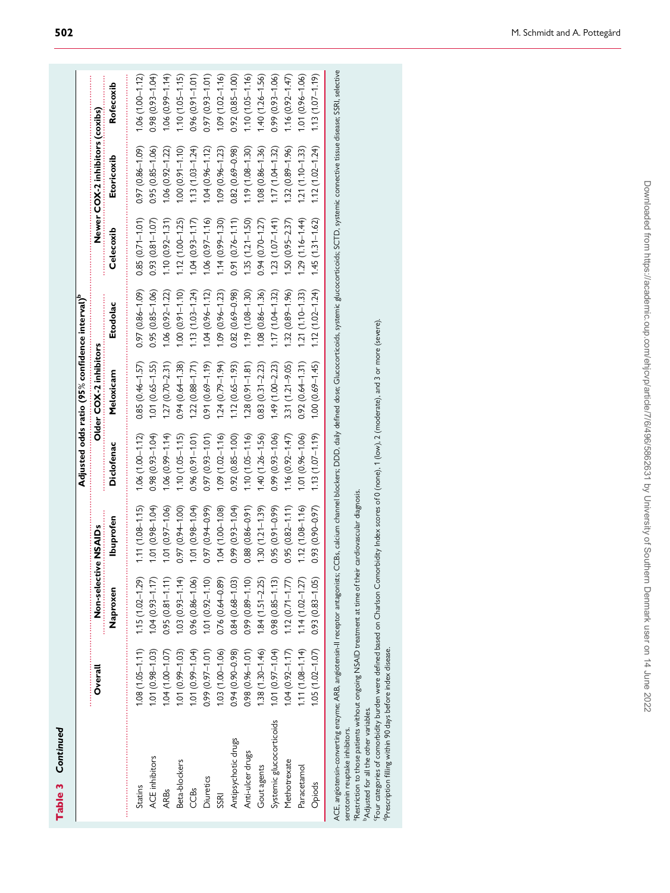|   | ۱ |
|---|---|
| ı |   |
|   |   |
|   |   |
| ٠ |   |
|   |   |
|   |   |
|   |   |
|   |   |
|   |   |
|   |   |
|   |   |
|   |   |
|   |   |

|                                                                                                                                                                                                                                                                                                                                                                                                                                                                                                                                                                                                                                                 |                       |                      |                       |                     | Adjusted odds ratio (95% confidence interval) <sup>b</sup> |                       |                       |                                 |                       |
|-------------------------------------------------------------------------------------------------------------------------------------------------------------------------------------------------------------------------------------------------------------------------------------------------------------------------------------------------------------------------------------------------------------------------------------------------------------------------------------------------------------------------------------------------------------------------------------------------------------------------------------------------|-----------------------|----------------------|-----------------------|---------------------|------------------------------------------------------------|-----------------------|-----------------------|---------------------------------|-----------------------|
|                                                                                                                                                                                                                                                                                                                                                                                                                                                                                                                                                                                                                                                 | Overall               | Non-selective NSAIDs |                       |                     | Older COX-2 inhibitors                                     |                       |                       | Newer COX-2 inhibitors (coxibs) |                       |
|                                                                                                                                                                                                                                                                                                                                                                                                                                                                                                                                                                                                                                                 |                       | Naproxen             | lbuprofen             | Diclofenac          | Meloxicam                                                  | Etodolac              | Celecoxib             | Etoricoxib                      | Rofecoxib             |
| <b>Statins</b>                                                                                                                                                                                                                                                                                                                                                                                                                                                                                                                                                                                                                                  | $1.08(1.05 - 1.11)$   | $1.15(1.02 - 1.29)$  | $1.11(1.08 - 1.15)$   | $1.06(1.00 - 1.12)$ | $0.85(0.46 - 1.57)$                                        | $(60.1 - 98.0)$ (50.8 | $0.85(0.71 - 1.01)$   | $0.97(0.86 - 1.09)$             | $1.06(1.00 - 1.12)$   |
| ACE inhibitors                                                                                                                                                                                                                                                                                                                                                                                                                                                                                                                                                                                                                                  | $.01(0.98 - 1.03)$    | $1.04(0.93 - 1.17)$  | $1.01(0.98 - 1.04)$   | $(6.1 - 1.093)$ 8   | $1.01(0.65 - 1.55)$                                        | $0.95(0.85 - 1.06)$   | $(0.93)(0.81 - 1.07)$ | $0.95(0.85 - 1.06)$             | $0.98(0.93 - 1.04)$   |
| <b>ARBs</b>                                                                                                                                                                                                                                                                                                                                                                                                                                                                                                                                                                                                                                     | 04 (1.00-1.07)        | $0.95(0.81 - 1.11)$  | $1.01(0.97 - 1.06)$   | $1.06(0.99 - 1.14)$ | $1.27(0.70 - 2.31)$                                        | $1.06(0.92 - 1.22)$   | $1.10(0.92 - 1.31)$   | $1.06(0.92 - 1.22)$             | $1.06(0.99 - 1.14)$   |
| Beta-blockers                                                                                                                                                                                                                                                                                                                                                                                                                                                                                                                                                                                                                                   | $.01(0.99 - 1.03)$    | $1.03(0.93 - 1.14)$  | $0.97(0.94 - 1.00)$   | $1.10(1.05 - 1.15)$ | $0.94(0.64 - 1.38)$                                        | $1.00(0.91 - 1.10)$   | $1.12(1.00 - 1.25)$   | $1.00(0.91 - 1.10)$             | $1.10(1.05 - 1.15)$   |
| CCBs                                                                                                                                                                                                                                                                                                                                                                                                                                                                                                                                                                                                                                            | $(0.1 - 0.99 - 1.04)$ | $0.96(0.86 - 1.06)$  | $1.01(0.98 - 1.04)$   | $0.96(0.91 - 1.01)$ | $1.22(0.88 - 1.71)$                                        | $1.13(1.03 - 1.24)$   | $1.04(0.93 - 1.17)$   | $1.13(1.03 - 1.24)$             | $0.96(0.91 - 1.01)$   |
| Diuretics                                                                                                                                                                                                                                                                                                                                                                                                                                                                                                                                                                                                                                       | 0.99 (0.97-1.01)      | $1.01(0.92 - 1.10)$  | $0.97(0.94 - 0.99)$   | $0.97(0.93 - 1.01)$ | $0.91(0.69 - 1.19)$                                        | $1.04(0.96 - 1.12)$   | $1.06(0.97 - 1.16)$   | $1.04(0.96 - 1.12)$             | $(0.97(0.93 - 1.01))$ |
| SSRI                                                                                                                                                                                                                                                                                                                                                                                                                                                                                                                                                                                                                                            | $1.03(1.00 - 1.06)$   | $0.76(0.64 - 0.89)$  | $1.04(1.00 - 1.08)$   | $1.09(1.02 - 1.16)$ | $1.24(0.79 - 1.94)$                                        | $1.09(0.96 - 1.23)$   | $1.14(0.99 - 1.30)$   | $1.09(0.96 - 1.23)$             | $1.09(1.02 - 1.16)$   |
| Antipsychotic drugs                                                                                                                                                                                                                                                                                                                                                                                                                                                                                                                                                                                                                             | 0.94 (0.90-0.98)      | $0.84(0.68 - 1.03)$  | 0.99 (0.93-1.04)      | $0.92(0.85 - 1.00)$ | $1.12(0.65 - 1.93)$                                        | $0.82(0.69 - 0.98)$   | $0.91(0.76 - 1.11)$   | $0.82(0.69 - 0.98)$             | $0.92(0.85 - 1.00)$   |
| Anti-ulcer drugs                                                                                                                                                                                                                                                                                                                                                                                                                                                                                                                                                                                                                                | $0.98(0.96 - 1.01)$   | $0.99(0.89 - 1.10)$  | $0.88(0.86 - 0.91)$   | $1.10(1.05 - 1.16)$ | $1.28(0.91 - 1.81)$                                        | $1.19(1.08 - 1.30)$   | $1.35(1.21 - 1.50)$   | $1.19(1.08 - 1.30)$             | $1.10(1.05 - 1.16)$   |
| Gout agents                                                                                                                                                                                                                                                                                                                                                                                                                                                                                                                                                                                                                                     | $.38(1.30 - 1.46)$    | $1.84(1.51 - 2.25)$  | $1.30(1.21 - 1.39)$   | $1.40(1.26 - 1.56)$ | $0.83(0.31 - 2.23)$                                        | $1.08(0.86 - 1.36)$   | $0.94(0.70 - 1.27)$   | $1.08(0.86 - 1.36)$             | $1.40(1.26 - 1.56)$   |
| Systemic glucocorticoids                                                                                                                                                                                                                                                                                                                                                                                                                                                                                                                                                                                                                        | $1.01(0.97 - 1.04)$   | $0.98(0.85 - 1.13)$  | $0.95(0.91 - 0.99)$   | $0.99(0.93 - 1.06)$ | $1.49(1.00 - 2.23)$                                        | $1.17(1.0 + 1.32)$    | $1.23(1.07 - 1.41)$   | $1.17(1.04 - 1.32)$             | $0.99(0.93 - 1.06)$   |
| Methotrexate                                                                                                                                                                                                                                                                                                                                                                                                                                                                                                                                                                                                                                    | $0.04(0.92 - 1.17)$   | $1.12(0.71 - 1.77)$  | $0.95(0.82 - 1.11)$   | $1.16(0.92 - 1.47)$ | $3.31(1.21 - 9.05)$                                        | $1.32(0.89 - 1.96)$   | $.50(0.95 - 2.37)$    | $1.32(0.89 - 1.96)$             | $1.16(0.92 - 1.47)$   |
| Paracetamol                                                                                                                                                                                                                                                                                                                                                                                                                                                                                                                                                                                                                                     | $(11(1.08 - 1.14))$   | $1.14(1.02 - 1.27)$  | $1.12(1.08 - 1.16)$   | $1.01(0.96 - 1.06)$ | $0.92(0.64 - 1.31)$                                        | $1.21(1.10 - 1.33)$   | $(1.29(1.16 - 1.44))$ | $1.21(1.10 - 1.33)$             | $1.01(0.96 - 1.06)$   |
| Opiods                                                                                                                                                                                                                                                                                                                                                                                                                                                                                                                                                                                                                                          | $1.05(1.02 - 1.07)$   | $0.93(0.83 - 1.05)$  | $(0.93(0.90 - 0.97))$ | $1.13(1.07 - 1.19)$ | $1.00(0.69 - 1.45)$                                        | $1.12(1.02 - 1.24)$   | $1.45(1.31 - 1.62)$   | $1.12(1.02 - 1.24)$             | $(1.13(1.07 - 1.19))$ |
| ACE, angiotensin-converting enzyme: ARB, angiotensin-Il receptor antagonists; CCBs, calcium channel blockers; DDD, daily defined dose; Glucocorticoids, systemic glucocorticoids; SCTD, systemic connective tissue disease; SS<br>Four categories of comorbidity burden were defined based on Charlson Comorbidity Index scores of 0 (none), 1 (low), 2 (moderate), and 3 or more (severe).<br>Restriction to those patients without ongoing NSAID treatment at time of their cardiovascular diagnosis.<br>Prescription filling within 90 days before index disease.<br>Adjusted for all the other variables.<br>serotonin reuptake inhibitors. |                       |                      |                       |                     |                                                            |                       |                       |                                 |                       |
|                                                                                                                                                                                                                                                                                                                                                                                                                                                                                                                                                                                                                                                 |                       |                      |                       |                     |                                                            |                       |                       |                                 |                       |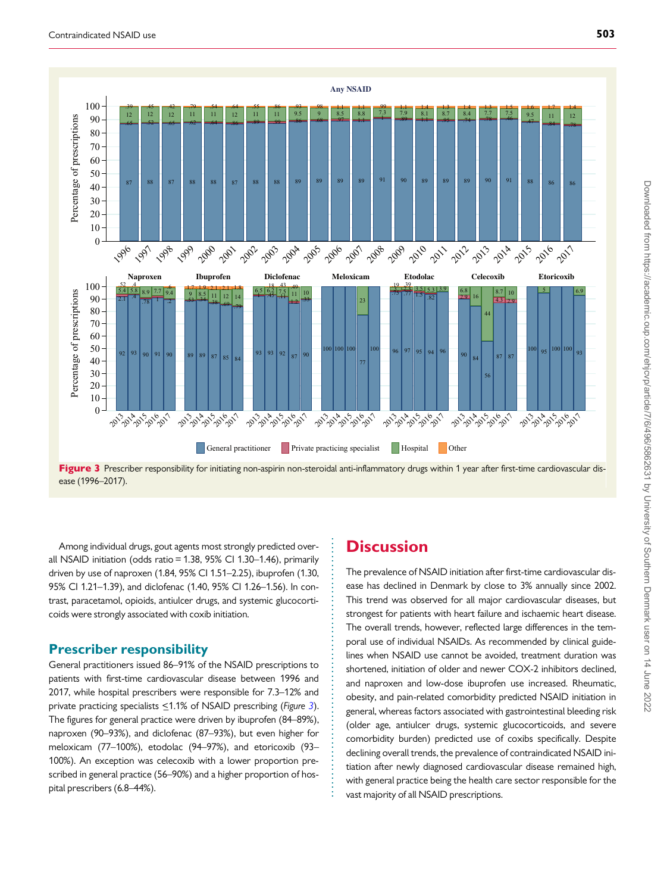

Figure 3 Prescriber responsibility for initiating non-aspirin non-steroidal anti-inflammatory drugs within 1 year after first-time cardiovascular disease (1996–2017).

. . . . . . . . . . . . . . . . . . . . . . . . . . . . . . . . . . . . . . . . . . . . . . . . . . . . . . . . . .

. Among individual drugs, gout agents most strongly predicted overall NSAID initiation (odds ratio = 1.38, 95% CI 1.30–1.46), primarily driven by use of naproxen (1.84, 95% CI 1.51–2.25), ibuprofen (1.30, 95% CI 1.21–1.39), and diclofenac (1.40, 95% CI 1.26–1.56). In contrast, paracetamol, opioids, antiulcer drugs, and systemic glucocorticoids were strongly associated with coxib initiation.

#### Prescriber responsibility

General practitioners issued 86–91% of the NSAID prescriptions to patients with first-time cardiovascular disease between 1996 and 2017, while hospital prescribers were responsible for 7.3–12% and private practicing specialists <1.1% of NSAID prescribing (Figure 3). The figures for general practice were driven by ibuprofen (84–89%), naproxen (90–93%), and diclofenac (87–93%), but even higher for meloxicam (77–100%), etodolac (94–97%), and etoricoxib (93– 100%). An exception was celecoxib with a lower proportion prescribed in general practice (56–90%) and a higher proportion of hospital prescribers (6.8–44%).

# **Discussion**

The prevalence of NSAID initiation after first-time cardiovascular disease has declined in Denmark by close to 3% annually since 2002. This trend was observed for all major cardiovascular diseases, but strongest for patients with heart failure and ischaemic heart disease. The overall trends, however, reflected large differences in the temporal use of individual NSAIDs. As recommended by clinical guidelines when NSAID use cannot be avoided, treatment duration was shortened, initiation of older and newer COX-2 inhibitors declined, and naproxen and low-dose ibuprofen use increased. Rheumatic, obesity, and pain-related comorbidity predicted NSAID initiation in general, whereas factors associated with gastrointestinal bleeding risk (older age, antiulcer drugs, systemic glucocorticoids, and severe comorbidity burden) predicted use of coxibs specifically. Despite declining overall trends, the prevalence of contraindicated NSAID initiation after newly diagnosed cardiovascular disease remained high, with general practice being the health care sector responsible for the vast majority of all NSAID prescriptions.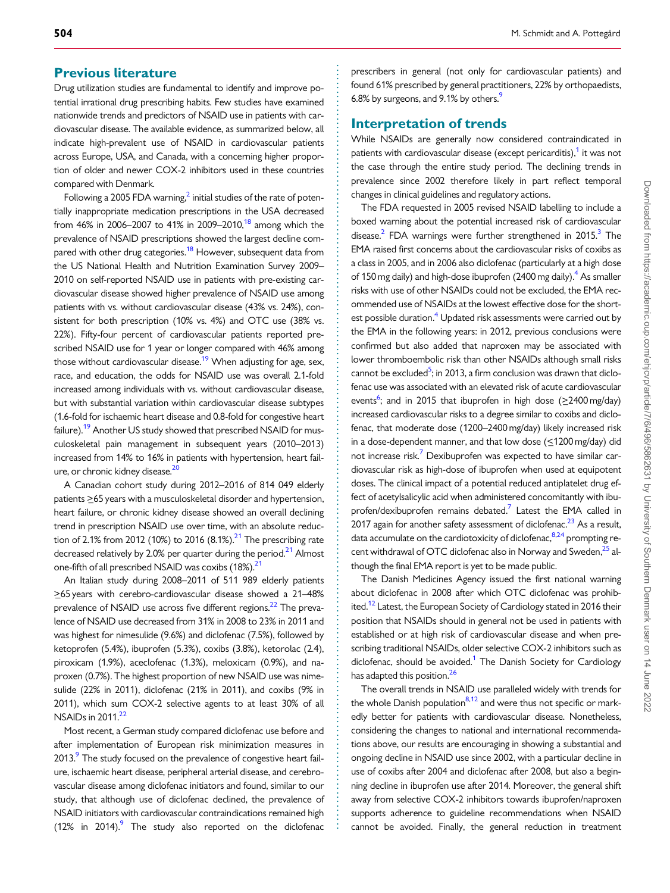#### <span id="page-8-0"></span>. Previous literature

Drug utilization studies are fundamental to identify and improve potential irrational drug prescribing habits. Few studies have examined nationwide trends and predictors of NSAID use in patients with cardiovascular disease. The available evidence, as summarized below, all indicate high-prevalent use of NSAID in cardiovascular patients across Europe, USA, and Canada, with a concerning higher proportion of older and newer COX-2 inhibitors used in these countries compared with Denmark.

Following a [2](#page-10-0)005 FDA warning, $^2$  initial studies of the rate of potentially inappropriate medication prescriptions in the USA decreased from 46% in 2006–2007 to 41% in 2009–2010,<sup>[18](#page-10-0)</sup> among which the prevalence of NSAID prescriptions showed the largest decline com-pared with other drug categories.<sup>[18](#page-10-0)</sup> However, subsequent data from the US National Health and Nutrition Examination Survey 2009– 2010 on self-reported NSAID use in patients with pre-existing cardiovascular disease showed higher prevalence of NSAID use among patients with vs. without cardiovascular disease (43% vs. 24%), consistent for both prescription (10% vs. 4%) and OTC use (38% vs. 22%). Fifty-four percent of cardiovascular patients reported prescribed NSAID use for 1 year or longer compared with 46% among those without cardiovascular disease.<sup>19</sup> When adjusting for age, sex, race, and education, the odds for NSAID use was overall 2.1-fold increased among individuals with vs. without cardiovascular disease, but with substantial variation within cardiovascular disease subtypes (1.6-fold for ischaemic heart disease and 0.8-fold for congestive heart failure).<sup>[19](#page-10-0)</sup> Another US study showed that prescribed NSAID for musculoskeletal pain management in subsequent years (2010–2013) increased from 14% to 16% in patients with hypertension, heart fail-ure, or chronic kidney disease.<sup>[20](#page-10-0)</sup>

A Canadian cohort study during 2012–2016 of 814 049 elderly patients  $\geq$  65 years with a musculoskeletal disorder and hypertension, heart failure, or chronic kidney disease showed an overall declining trend in prescription NSAID use over time, with an absolute reduction of 2.1% from 2012 (10%) to 2016  $(8.1\%)$ <sup>21</sup> The prescribing rate decreased relatively by 2.0% per quarter during the period. $21$  Almost one-fifth of all prescribed NSAID was coxibs (18%).<sup>21</sup>

An Italian study during 2008–2011 of 511 989 elderly patients >\_65 years with cerebro-cardiovascular disease showed a 21–48% prevalence of NSAID use across five different regions.<sup>22</sup> The prevalence of NSAID use decreased from 31% in 2008 to 23% in 2011 and was highest for nimesulide (9.6%) and diclofenac (7.5%), followed by ketoprofen (5.4%), ibuprofen (5.3%), coxibs (3.8%), ketorolac (2.4), piroxicam (1.9%), aceclofenac (1.3%), meloxicam (0.9%), and naproxen (0.7%). The highest proportion of new NSAID use was nimesulide (22% in 2011), diclofenac (21% in 2011), and coxibs (9% in 2011), which sum COX-2 selective agents to at least 30% of all NSAIDs in  $2011<sup>22</sup>$ 

Most recent, a German study compared diclofenac use before and after implementation of European risk minimization measures in 2013.<sup>9</sup> The study focused on the prevalence of congestive heart failure, ischaemic heart disease, peripheral arterial disease, and cerebrovascular disease among diclofenac initiators and found, similar to our study, that although use of diclofenac declined, the prevalence of NSAID initiators with cardiovascular contraindications remained high (12% in 2014). $9$  The study also reported on the diclofenac . . . . . . . . . . . . . . . . . . . . . . . . . . . . . . . . . . . . . . . . . . . . . . . . . . . . . . . . . . . . . . . . . . . . . . . . . . . . . . . . . . . . . . . . . . . . . . . . . . . . . . . . . . . . . . . . . . . . . . . . . . . . . . . . . . . . . . . . . . . . . . . . . . . . . . . . . . . . . . . . . . . . . . . . . . . .

prescribers in general (not only for cardiovascular patients) and found 61% prescribed by general practitioners, 22% by orthopaedists, 6.8% by surgeons, and [9](#page-10-0).1% by others.<sup>9</sup>

#### Interpretation of trends

While NSAIDs are generally now considered contraindicated in patients with cardiovascular disease (except pericarditis), $\frac{1}{1}$  it was not the case through the entire study period. The declining trends in prevalence since 2002 therefore likely in part reflect temporal changes in clinical guidelines and regulatory actions.

The FDA requested in 2005 revised NSAID labelling to include a boxed warning about the potential increased risk of cardiovascular disease.<sup>[2](#page-10-0)</sup> FDA warnings were further strengthened in 2015.<sup>3</sup> The EMA raised first concerns about the cardiovascular risks of coxibs as a class in 2005, and in 2006 also diclofenac (particularly at a high dose of 150 mg daily) and high-dose ibuprofen (2[4](#page-10-0)00 mg daily).<sup>4</sup> As smaller risks with use of other NSAIDs could not be excluded, the EMA recommended use of NSAIDs at the lowest effective dose for the shortest possible duration.<sup>4</sup> Updated risk assessments were carried out by the EMA in the following years: in 2012, previous conclusions were confirmed but also added that naproxen may be associated with lower thromboembolic risk than other NSAIDs although small risks cannot be excluded<sup>[5](#page-10-0)</sup>; in 2013, a firm conclusion was drawn that diclofenac use was associated with an elevated risk of acute cardiovascular events<sup>6</sup>; and in 2015 that ibuprofen in high dose ( $\geq$ 2400 mg/day) increased cardiovascular risks to a degree similar to coxibs and diclofenac, that moderate dose (1200–2400 mg/day) likely increased risk in a dose-dependent manner, and that low dose  $(\leq 1200 \text{ mg/day})$  did not increase risk.<sup>7</sup> Dexibuprofen was expected to have similar cardiovascular risk as high-dose of ibuprofen when used at equipotent doses. The clinical impact of a potential reduced antiplatelet drug effect of acetylsalicylic acid when administered concomitantly with ibuprofen/dexibuprofen remains debated.<sup>7</sup> Latest the EMA called in 2017 again for another safety assessment of diclofenac.<sup>23</sup> As a result, data accumulate on the cardiotoxicity of diclofenac,  $8,24$  prompting recent withdrawal of OTC diclofenac also in Norway and Sweden,<sup>25</sup> although the final EMA report is yet to be made public.

The Danish Medicines Agency issued the first national warning about diclofenac in 2008 after which OTC diclofenac was prohibited.<sup>12</sup> Latest, the European Society of Cardiology stated in 2016 their position that NSAIDs should in general not be used in patients with established or at high risk of cardiovascular disease and when prescribing traditional NSAIDs, older selective COX-2 inhibitors such as diclofenac, should be avoided.<sup>1</sup> The Danish Society for Cardiology has adapted this position.<sup>26</sup>

The overall trends in NSAID use paralleled widely with trends for the whole Danish population<sup>8,12</sup> and were thus not specific or markedly better for patients with cardiovascular disease. Nonetheless, considering the changes to national and international recommendations above, our results are encouraging in showing a substantial and ongoing decline in NSAID use since 2002, with a particular decline in use of coxibs after 2004 and diclofenac after 2008, but also a beginning decline in ibuprofen use after 2014. Moreover, the general shift away from selective COX-2 inhibitors towards ibuprofen/naproxen supports adherence to guideline recommendations when NSAID cannot be avoided. Finally, the general reduction in treatment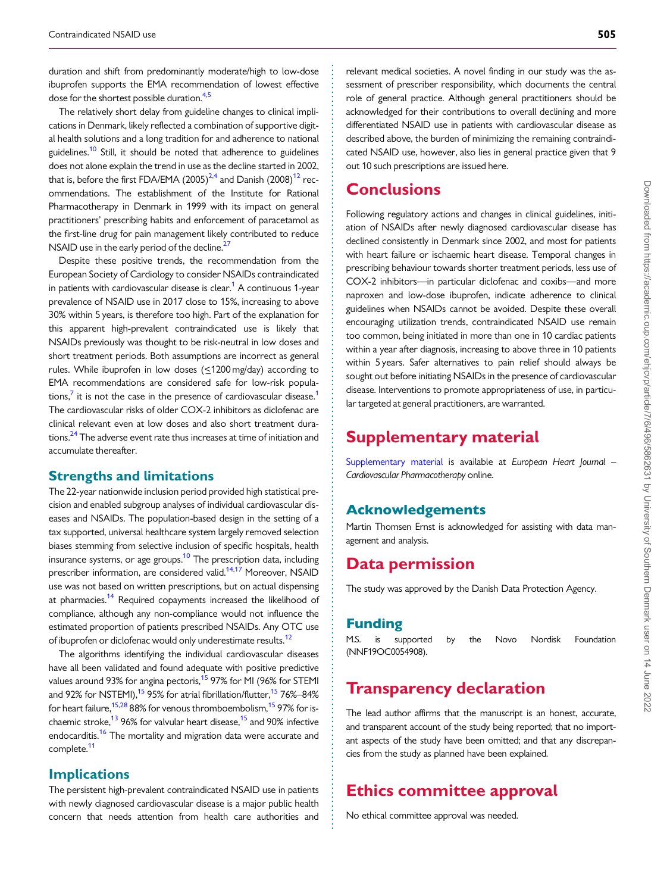<span id="page-9-0"></span>. duration and shift from predominantly moderate/high to low-dose ibuprofen supports the EMA recommendation of lowest effective dose for the shortest possible duration.<sup>[4,5](#page-10-0)</sup>

The relatively short delay from guideline changes to clinical implications in Denmark, likely reflected a combination of supportive digital health solutions and a long tradition for and adherence to national guidelines.<sup>10</sup> Still, it should be noted that adherence to guidelines does not alone explain the trend in use as the decline started in 2002, that is, before the first FDA/EMA (2005)<sup>2,4</sup> and Danish (2008)<sup>12</sup> recommendations. The establishment of the Institute for Rational Pharmacotherapy in Denmark in 1999 with its impact on general practitioners' prescribing habits and enforcement of paracetamol as the first-line drug for pain management likely contributed to reduce NSAID use in the early period of the decline.<sup>27</sup>

Despite these positive trends, the recommendation from the European Society of Cardiology to consider NSAIDs contraindicated in patients with cardiovascular disease is clear.<sup>[1](#page-10-0)</sup> A continuous 1-year prevalence of NSAID use in 2017 close to 15%, increasing to above 30% within 5 years, is therefore too high. Part of the explanation for this apparent high-prevalent contraindicated use is likely that NSAIDs previously was thought to be risk-neutral in low doses and short treatment periods. Both assumptions are incorrect as general rules. While ibuprofen in low doses (<1200 mg/day) according to EMA recommendations are considered safe for low-risk populations, $\frac{7}{1}$  it is not the case in the presence of cardiovascular disease.<sup>1</sup> The cardiovascular risks of older COX-2 inhibitors as diclofenac are clinical relevant even at low doses and also short treatment durations.<sup>24</sup> The adverse event rate thus increases at time of initiation and accumulate thereafter.

#### Strengths and limitations

The 22-year nationwide inclusion period provided high statistical precision and enabled subgroup analyses of individual cardiovascular diseases and NSAIDs. The population-based design in the setting of a tax supported, universal healthcare system largely removed selection biases stemming from selective inclusion of specific hospitals, health insurance systems, or age groups.<sup>10</sup> The prescription data, including prescriber information, are considered valid.<sup>[14](#page-10-0),[17](#page-10-0)</sup> Moreover, NSAID use was not based on written prescriptions, but on actual dispensing at pharmacies.<sup>14</sup> Required copayments increased the likelihood of compliance, although any non-compliance would not influence the estimated proportion of patients prescribed NSAIDs. Any OTC use of ibuprofen or diclofenac would only underestimate results.<sup>12</sup>

The algorithms identifying the individual cardiovascular diseases have all been validated and found adequate with positive predictive values around 93% for angina pectoris,<sup>15</sup> 97% for MI (96% for STEMI and 92% for NSTEMI),<sup>15</sup> 95% for atrial fibrillation/flutter,<sup>15</sup> 76%–84% for heart failure,  $15,28$  $15,28$  88% for venous thromboembolism,  $15$  97% for ischaemic stroke,<sup>13</sup> 96% for valvular heart disease,<sup>15</sup> and 90% infective endocarditis.<sup>16</sup> The mortality and migration data were accurate and complete.<sup>11</sup>

#### Implications

The persistent high-prevalent contraindicated NSAID use in patients with newly diagnosed cardiovascular disease is a major public health concern that needs attention from health care authorities and relevant medical societies. A novel finding in our study was the assessment of prescriber responsibility, which documents the central role of general practice. Although general practitioners should be acknowledged for their contributions to overall declining and more differentiated NSAID use in patients with cardiovascular disease as described above, the burden of minimizing the remaining contraindicated NSAID use, however, also lies in general practice given that 9 out 10 such prescriptions are issued here.

### **Conclusions**

Following regulatory actions and changes in clinical guidelines, initiation of NSAIDs after newly diagnosed cardiovascular disease has declined consistently in Denmark since 2002, and most for patients with heart failure or ischaemic heart disease. Temporal changes in prescribing behaviour towards shorter treatment periods, less use of COX-2 inhibitors—in particular diclofenac and coxibs—and more naproxen and low-dose ibuprofen, indicate adherence to clinical guidelines when NSAIDs cannot be avoided. Despite these overall encouraging utilization trends, contraindicated NSAID use remain too common, being initiated in more than one in 10 cardiac patients within a year after diagnosis, increasing to above three in 10 patients within 5 years. Safer alternatives to pain relief should always be sought out before initiating NSAIDs in the presence of cardiovascular disease. Interventions to promote appropriateness of use, in particular targeted at general practitioners, are warranted.

# Supplementary material

[Supplementary material](https://academic.oup.com/ehjcvp/article-lookup/doi/10.1093/ehjcvp/pvaa073#supplementary-data) is available at European Heart Journal -Cardiovascular Pharmacotherapy online.

#### Acknowledgements

Martin Thomsen Ernst is acknowledged for assisting with data management and analysis.

# Data permission

The study was approved by the Danish Data Protection Agency.

#### Funding

. . . . . . . . . . . . . . . . . . . . . . . . . . . . . . . . . . . . . . . . . . . . . . . . . . . . . . . . . . . . . . . . . . . . . . . . . . . . . . . . . . . . . . . . . . . . . . . . . . . . . . . . . . . . . . . . . . . . . . . . . . . . . . . . . . . . . . . . . . . . . . . . . . . . . . . . . . . . . . . . . . . . . . . . . . . .

M.S. is supported by the Novo Nordisk Foundation (NNF19OC0054908).

# Transparency declaration

The lead author affirms that the manuscript is an honest, accurate, and transparent account of the study being reported; that no important aspects of the study have been omitted; and that any discrepancies from the study as planned have been explained.

# Ethics committee approval

No ethical committee approval was needed.